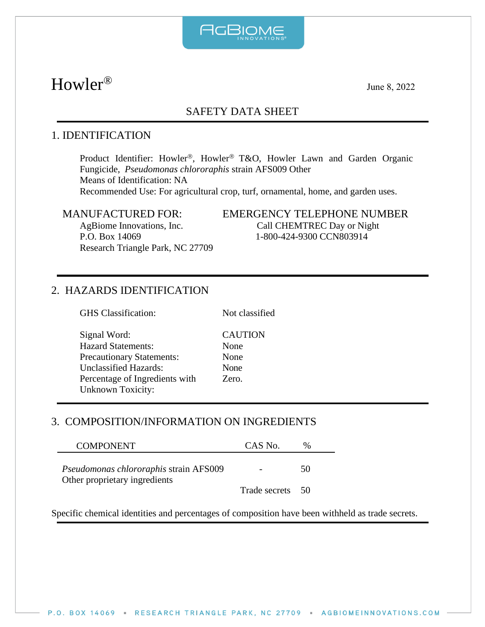

# $\text{Howler}^{\circledR}$  June 8, 2022

# SAFETY DATA SHEET

# 1. IDENTIFICATION

Product Identifier: Howler®, Howler® T&O, Howler Lawn and Garden Organic Fungicide, *Pseudomonas chlororaphis* strain AFS009 Other Means of Identification: NA Recommended Use: For agricultural crop, turf, ornamental, home, and garden uses.

Research Triangle Park, NC 27709

#### MANUFACTURED FOR: EMERGENCY TELEPHONE NUMBER AgBiome Innovations, Inc. Call CHEMTREC Day or Night P.O. Box 14069 1-800-424-9300 CCN803914

# 2. HAZARDS IDENTIFICATION

GHS Classification: Not classified

Signal Word: CAUTION Hazard Statements: None Precautionary Statements: None Unclassified Hazards: None Percentage of Ingredients with Zero. Unknown Toxicity:

# 3. COMPOSITION/INFORMATION ON INGREDIENTS

| <b>COMPONENT</b>                                                        | CAS No.          | %  |
|-------------------------------------------------------------------------|------------------|----|
| Pseudomonas chlororaphis strain AFS009<br>Other proprietary ingredients |                  | 50 |
|                                                                         | Trade secrets 50 |    |

Specific chemical identities and percentages of composition have been withheld as trade secrets.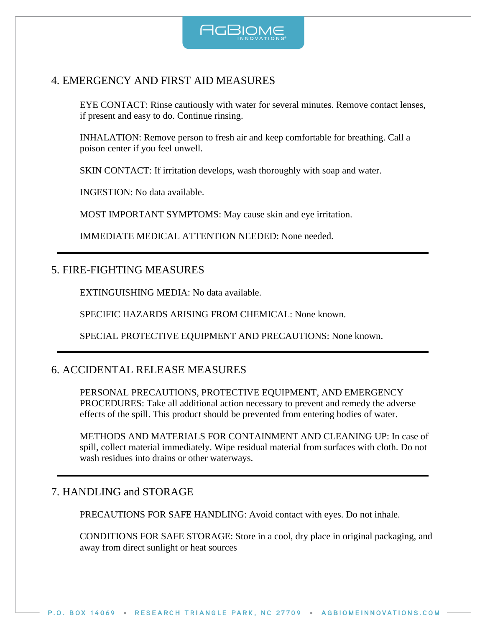

### 4. EMERGENCY AND FIRST AID MEASURES

EYE CONTACT: Rinse cautiously with water for several minutes. Remove contact lenses, if present and easy to do. Continue rinsing.

INHALATION: Remove person to fresh air and keep comfortable for breathing. Call a poison center if you feel unwell.

SKIN CONTACT: If irritation develops, wash thoroughly with soap and water.

INGESTION: No data available.

MOST IMPORTANT SYMPTOMS: May cause skin and eye irritation.

IMMEDIATE MEDICAL ATTENTION NEEDED: None needed.

#### 5. FIRE-FIGHTING MEASURES

EXTINGUISHING MEDIA: No data available.

SPECIFIC HAZARDS ARISING FROM CHEMICAL: None known.

SPECIAL PROTECTIVE EQUIPMENT AND PRECAUTIONS: None known.

### 6. ACCIDENTAL RELEASE MEASURES

PERSONAL PRECAUTIONS, PROTECTIVE EQUIPMENT, AND EMERGENCY PROCEDURES: Take all additional action necessary to prevent and remedy the adverse effects of the spill. This product should be prevented from entering bodies of water.

METHODS AND MATERIALS FOR CONTAINMENT AND CLEANING UP: In case of spill, collect material immediately. Wipe residual material from surfaces with cloth. Do not wash residues into drains or other waterways.

#### 7. HANDLING and STORAGE

PRECAUTIONS FOR SAFE HANDLING: Avoid contact with eyes. Do not inhale.

CONDITIONS FOR SAFE STORAGE: Store in a cool, dry place in original packaging, and away from direct sunlight or heat sources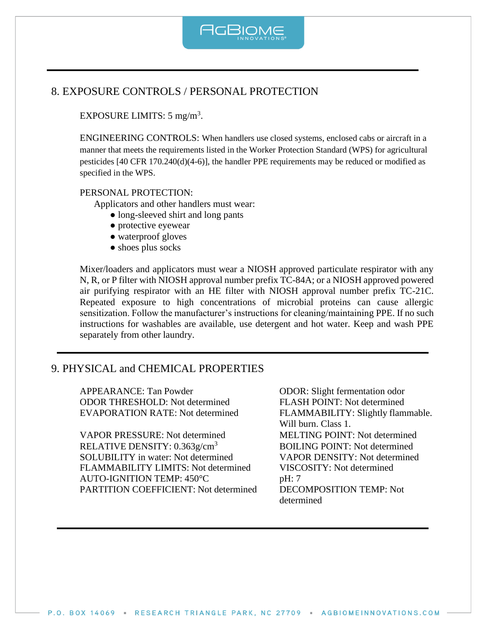

## 8. EXPOSURE CONTROLS / PERSONAL PROTECTION

EXPOSURE LIMITS:  $5 \text{ mg/m}^3$ .

ENGINEERING CONTROLS: When handlers use closed systems, enclosed cabs or aircraft in a manner that meets the requirements listed in the Worker Protection Standard (WPS) for agricultural pesticides [40 CFR 170.240(d)(4-6)], the handler PPE requirements may be reduced or modified as specified in the WPS.

#### PERSONAL PROTECTION:

Applicators and other handlers must wear:

- long-sleeved shirt and long pants
- protective eyewear
- waterproof gloves
- shoes plus socks

Mixer/loaders and applicators must wear a NIOSH approved particulate respirator with any N, R, or P filter with NIOSH approval number prefix TC-84A; or a NIOSH approved powered air purifying respirator with an HE filter with NIOSH approval number prefix TC-21C. Repeated exposure to high concentrations of microbial proteins can cause allergic sensitization. Follow the manufacturer's instructions for cleaning/maintaining PPE. If no such instructions for washables are available, use detergent and hot water. Keep and wash PPE separately from other laundry.

#### 9. PHYSICAL and CHEMICAL PROPERTIES

APPEARANCE: Tan Powder **ODOR:** Slight fermentation odor ODOR THRESHOLD: Not determined FLASH POINT: Not determined EVAPORATION RATE: Not determined FLAMMABILITY: Slightly flammable.

VAPOR PRESSURE: Not determined MELTING POINT: Not determined RELATIVE DENSITY:  $0.363g/cm^3$  BOILING POINT: Not determined SOLUBILITY in water: Not determined<br>
FLAMMABILITY LIMITS: Not determined VISCOSITY: Not determined FLAMMABILITY LIMITS: Not determined AUTO-IGNITION TEMP: 450°C pH: 7 PARTITION COEFFICIENT: Not determined DECOMPOSITION TEMP: Not

Will burn. Class 1. determined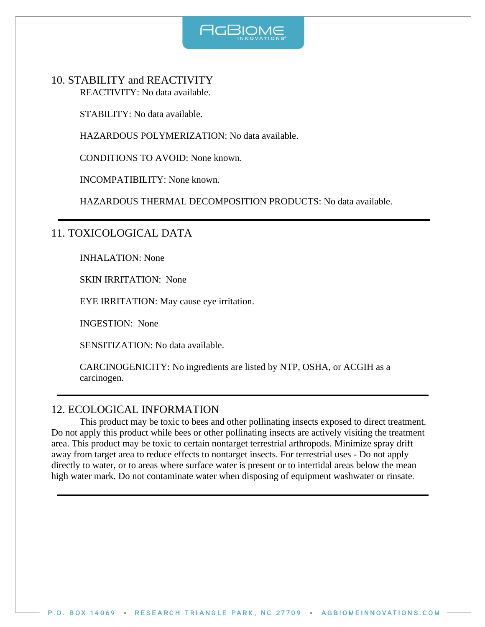

10. STABILITY and REACTIVITY REACTIVITY: No data available.

STABILITY: No data available.

HAZARDOUS POLYMERIZATION: No data available.

CONDITIONS TO AVOID: None known.

INCOMPATIBILITY: None known.

HAZARDOUS THERMAL DECOMPOSITION PRODUCTS: No data available.

# 11. TOXICOLOGICAL DATA

INHALATION: None

SKIN IRRITATION: None

EYE IRRITATION: May cause eye irritation.

INGESTION: None

SENSITIZATION: No data available.

CARCINOGENICITY: No ingredients are listed by NTP, OSHA, or ACGIH as a carcinogen.

### 12. ECOLOGICAL INFORMATION

This product may be toxic to bees and other pollinating insects exposed to direct treatment. Do not apply this product while bees or other pollinating insects are actively visiting the treatment area. This product may be toxic to certain nontarget terrestrial arthropods. Minimize spray drift away from target area to reduce effects to nontarget insects. For terrestrial uses - Do not apply directly to water, or to areas where surface water is present or to intertidal areas below the mean high water mark. Do not contaminate water when disposing of equipment washwater or rinsate.